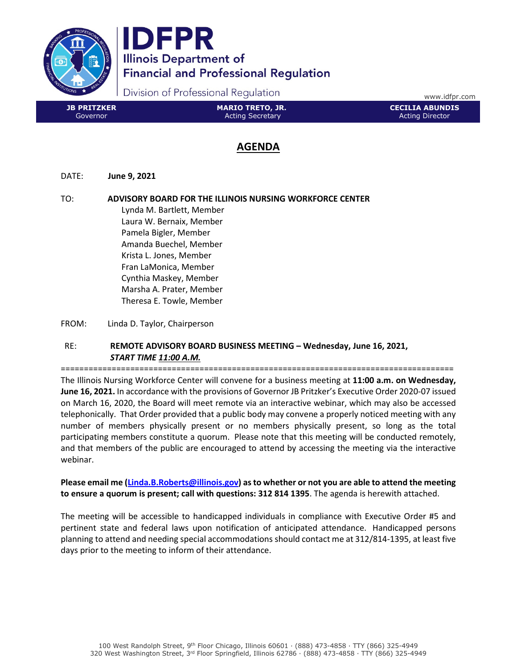



Division of Professional Regulation

www.idfpr.com

# AGENDA

DATE: June 9, 2021

TO: ADVISORY BOARD FOR THE ILLINOIS NURSING WORKFORCE CENTER Lynda M. Bartlett, Member Laura W. Bernaix, Member Pamela Bigler, Member Amanda Buechel, Member Krista L. Jones, Member Fran LaMonica, Member Cynthia Maskey, Member Marsha A. Prater, Member Theresa E. Towle, Member

FROM: Linda D. Taylor, Chairperson

# RE: REMOTE ADVISORY BOARD BUSINESS MEETING – Wednesday, June 16, 2021, START TIME 11:00 A.M.

=====================================================================================

The Illinois Nursing Workforce Center will convene for a business meeting at 11:00 a.m. on Wednesday, June 16, 2021. In accordance with the provisions of Governor JB Pritzker's Executive Order 2020-07 issued on March 16, 2020, the Board will meet remote via an interactive webinar, which may also be accessed telephonically. That Order provided that a public body may convene a properly noticed meeting with any number of members physically present or no members physically present, so long as the total participating members constitute a quorum. Please note that this meeting will be conducted remotely, and that members of the public are encouraged to attend by accessing the meeting via the interactive webinar.

Please email me (Linda.B.Roberts@illinois.gov) as to whether or not you are able to attend the meeting to ensure a quorum is present; call with questions: 312 814 1395. The agenda is herewith attached.

The meeting will be accessible to handicapped individuals in compliance with Executive Order #5 and pertinent state and federal laws upon notification of anticipated attendance. Handicapped persons planning to attend and needing special accommodations should contact me at 312/814-1395, at least five days prior to the meeting to inform of their attendance.